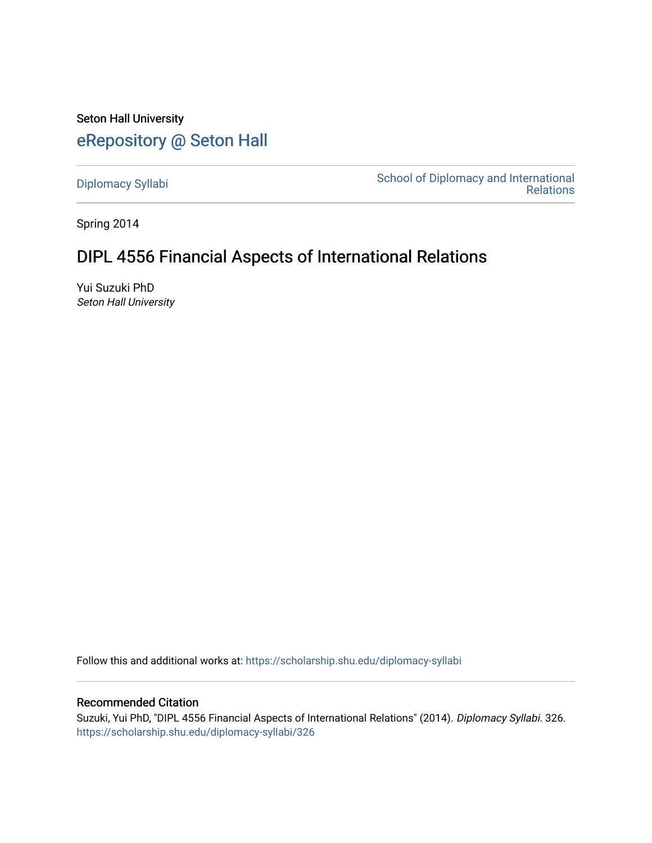Seton Hall University [eRepository @ Seton Hall](https://scholarship.shu.edu/)

[Diplomacy Syllabi](https://scholarship.shu.edu/diplomacy-syllabi) [School of Diplomacy and International](https://scholarship.shu.edu/diplomacy)  [Relations](https://scholarship.shu.edu/diplomacy) 

Spring 2014

# DIPL 4556 Financial Aspects of International Relations

Yui Suzuki PhD Seton Hall University

Follow this and additional works at: [https://scholarship.shu.edu/diplomacy-syllabi](https://scholarship.shu.edu/diplomacy-syllabi?utm_source=scholarship.shu.edu%2Fdiplomacy-syllabi%2F326&utm_medium=PDF&utm_campaign=PDFCoverPages) 

# Recommended Citation

Suzuki, Yui PhD, "DIPL 4556 Financial Aspects of International Relations" (2014). Diplomacy Syllabi. 326. [https://scholarship.shu.edu/diplomacy-syllabi/326](https://scholarship.shu.edu/diplomacy-syllabi/326?utm_source=scholarship.shu.edu%2Fdiplomacy-syllabi%2F326&utm_medium=PDF&utm_campaign=PDFCoverPages)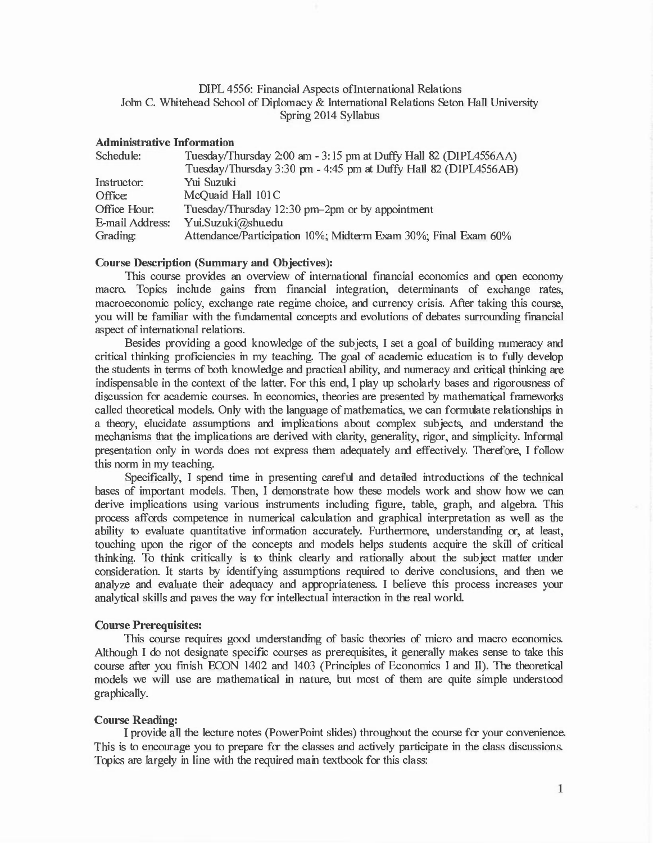## DIPL 4556: Financial Aspects oflnternational Relations John C. Whitehead School of Diplomacy & International Relations Seton Hall University Spring 2014 Syllabus

#### Administrative Information

| Schedule:       | Tuesday/Thursday 2:00 am - 3:15 pm at Duffy Hall 82 (DIPL4556AA) |
|-----------------|------------------------------------------------------------------|
|                 | Tuesday/Thursday 3:30 pm - 4:45 pm at Duffy Hall 82 (DIPL4556AB) |
| Instructor:     | Yui Suzuki                                                       |
| Office:         | McQuaid Hall 101C                                                |
| Office Hour:    | Tuesday/Thursday 12:30 pm-2pm or by appointment                  |
| E-mail Address: | Yui.Suzuki@shu.edu                                               |
| Grading:        | Attendance/Participation 10%; Midterm Exam 30%; Final Exam 60%   |

## Course Description (Summary and Objectives):

This course provides an overview of international financial economics and open economy macro. Topics include gains from financial integration, determinants of exchange rates, macroeconomic policy, exchange rate regime choice, and currency crisis. After taking this course, you will be familiar with the fundamental concepts and evolutions of debates surrounding financial aspect of international relations.

Besides providing a good knowledge of the subjects, I set a goal of building numeracy and critical thinking proficiencies in my teaching. The goal of academic education is to fully develop the students in terms of both knowledge and practical ability, and numeracy and critical thinking are indispensable in the context of the latter. For this end, I play up scholarly bases and rigorousness of discussion for academic courses. In economics, theories are presented by mathematical frameworks called theoretical models. Only with the language of mathematics, we can formulate relationships in a theory, elucidate assumptions and implications about complex subjects, and understand the mechanisms that the implications are derived with clarity, generality, rigor, and simplicity. Informal presentation only in words does not express them adequately and effectively. Therefore, I follow this norm in my teaching.

Specifically, I spend time in presenting careful and detailed introductions of the technical bases of important models. Then, I demonstrate how these models work and show how we can derive implications using various instruments including figure, table, graph, and algebra. This process affords competence in numerical calculation and graphical interpretation as well as the ability to evaluate quantitative information accurately. Furthermore, understanding or, at least, touching upon the rigor of the concepts and models helps students acquire the skill of critical thinking. To think critically is to think clearly and rationally about the subject matter under consideration. It starts by identifying assumptions required to derive conclusions, and then we analyze and evaluate their adequacy and appropriateness. I believe this process increases your analytical skills and paves the way for intellectual interaction in the real world.

## Course Prerequisites:

This course requires good understanding of basic theories of micro and macro economics. Although I do not designate specific courses as prerequisites, it generally makes sense to take this course after you finish ECON 1402 and 1403 (Principles of Economics I and II). The theoretical models we will use are mathematical in nature, but most of them are quite simple understood graphically.

## Course Reading:

I provide all the lecture notes (PowerPoint slides) throughout the course for your convenience. This is to encourage you to prepare for the classes and actively participate in the class discussions. Topics are largely in line with the required main textbook for this class: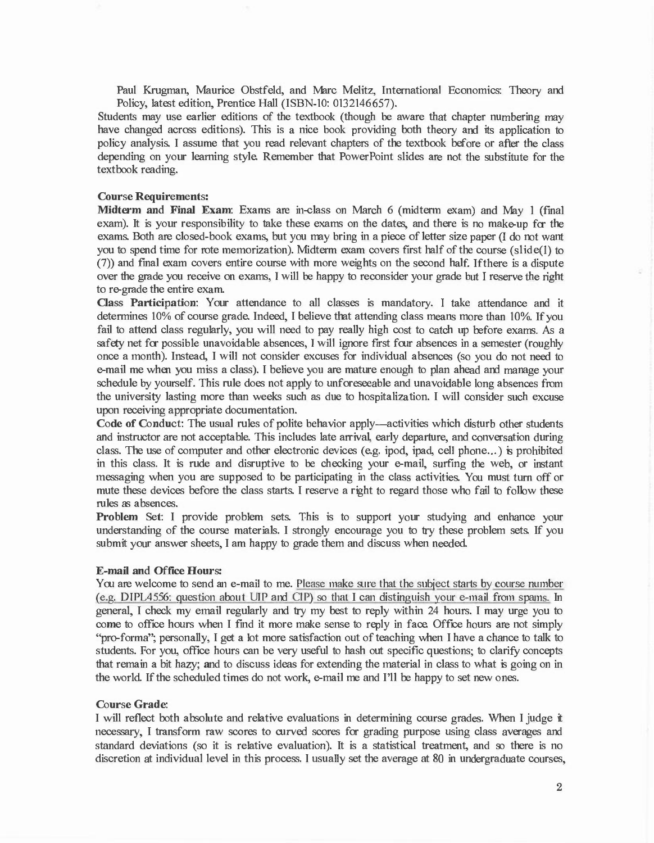Paul Krugman, Maurice Obstfeld, and Marc Melitz, International Economics: Theory and Policy, latest edition, Prentice Hall (ISBN-10: 0132146657).

Students may use earlier editions of the textbook (though be aware that chapter numbering may have changed across editions). This is a nice book providing both theory and its application to policy analysis. I assume that you read relevant chapters of the textbook before or after the class depending on your learning style. Remember that PowerPoint slides are not the substitute for the textbook reading.

#### Course Requirements:

Midterm and Final Exam: Exams are in-class on March 6 (midterm exam) and May l (final exam). It is your responsibility to take these exams on the dates, and there is no make-up for the exams. Both are closed-book exams, but you may bring in a piece of letter size paper (I do not want you to spend time for rote memorization). Midterm exam covers first half of the course (slide(]) to (7)) and final exam covers entire course with more weights on the second half. Ifthere is a dispute over the grade you receive on exams, I will be happy to reconsider your grade but I reserve the right to re-grade the entire exam.

Class Participation: Your attendance to all classes is mandatory. I take attendance and it determines 10% of course grade. Indeed, I believe that attending class means more than 10%. If you fail to attend class regularly, you will need to pay really high cost to catch up before exams. As a safety net for possible unavoidable absences, I will ignore first four absences in a semester (roughly once a month). Instead, I will not consider excuses for individual absences (so you do not need to e-mail me when you miss a class). I believe you are mature enough to plan ahead and manage your schedule by yourself. This rule does not apply to unforeseeable and unavoidable long absences from the university lasting more than weeks such as due to hospitalization. I will consider such excuse upon receiving appropriate documentation.

Code of Conduct: The usual rules of polite behavior apply—activities which disturb other students and instructor are not acceptable. This includes late arrival, early departure, and conversation during class. The use of computer and other electronic devices (e.g. ipod, ipad, cell phone...) is prohibited in this class. It is rude and disruptive to be checking your e-mail, surfing the web, or instant messaging when you are supposed to be participating in the class activities. You must turn off or mute these devices before the class starts. I reserve a right to regard those who fail to follow these rules as absences.

Problem Set: I provide problem sets. This is to support your studying and enhance your understanding of the course materials. I strongly encourage you to try these problem sets. If you submit your answer sheets, I am happy to grade them and discuss when needed.

#### E-mail and Office Hours:

You are welcome to send an e-mail to me. Please make sure that the subject starts by course number (e.g. DIPL4556: question about UlP and ClP) so that I can distinguish your e-mail from spams. In general, I check my email regularly and try my best to reply within 24 hours. I may urge you to come to office hours when I find it more make sense to reply in face. Office hours are not simply "pro-forma"; personally, I get a lot more satisfaction out of teaching when I have a chance to talk to students. For you, office hours can be very useful to hash out specific questions; to clarify concepts that remain a bit hazy; and to discuss ideas for extending the material in class to what is going on in the world. If the scheduled times do not work, e-mail me and I'll be happy to set new ones.

#### Course Grade:

I will reflect both absolute and relative evaluations in determining course grades. When I judge it necessary, I transform raw scores to curved scores for grading purpose using class averages and standard deviations (so it is relative evaluation). It is a statistical treatment, and so there is no discretion at individual level in this process. I usually set the average at 80 in undergraduate courses,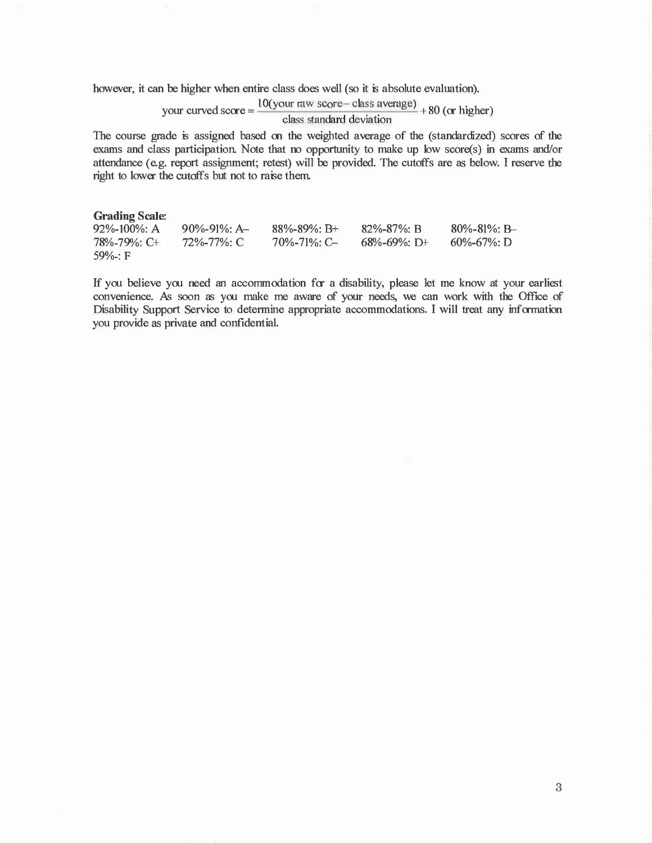however, it can be higher when entire class does well (so it is absolute evaluation).

# <sup>d</sup>l O(your raw score- class average) 80 ( h' h ) your curve score = + or ig er class standard deviation

The course grade is assigned based on the weighted average of the (standardized) scores of the exams and class participation. Note that no opportunity to make up low score(s) in exams and/or attendance (e.g. report assignment; retest) will be provided. The cutoffs are as below. I reserve the right to lower the cutoffs but not to raise them.

#### **Grading Scale:**

| $92\% - 100\%$ : A<br>$82\% - 87\%$ : B<br>$90\% - 91\%$ : A<br>$88\% - 89\%$ : B+<br>78%-79%: C+<br>72%-77%: C<br>$70\% - 71\%$ : C<br>$68\% - 69\%$ : D+<br>$59\%$ : F | $80\% - 81\%$ : B<br>$60\% - 67\%$ : D |
|--------------------------------------------------------------------------------------------------------------------------------------------------------------------------|----------------------------------------|
|--------------------------------------------------------------------------------------------------------------------------------------------------------------------------|----------------------------------------|

If you believe you need an accommodation for a disability, please let me know at your earliest convenience. As soon as you make me aware of your needs, we can work with the Office of Disability Support Service to determine appropriate accommodations. I will treat any information you provide as private and confidential.